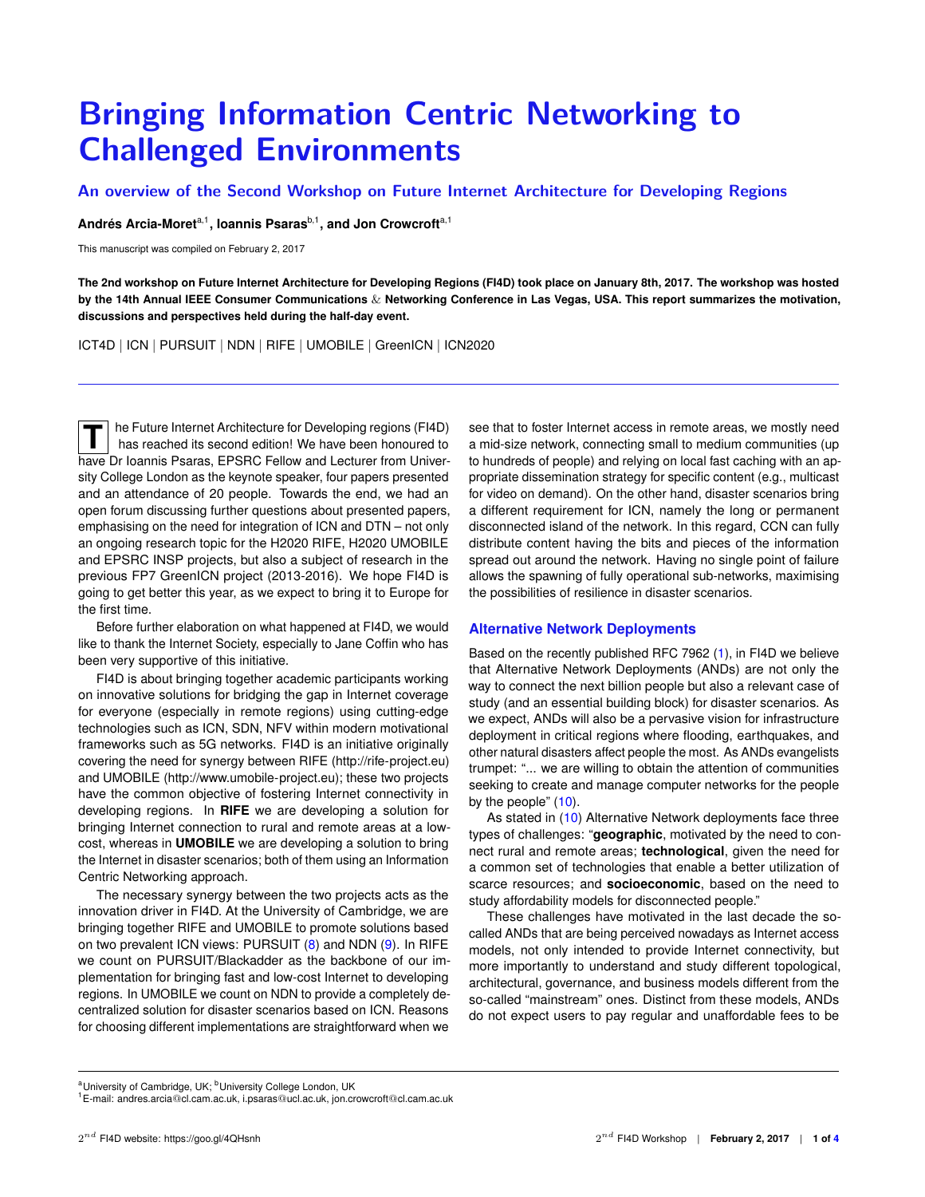# <span id="page-0-0"></span>**Bringing Information Centric Networking to Challenged Environments**

**An overview of the Second Workshop on Future Internet Architecture for Developing Regions**

**Andrés Arcia-Moret**a,1 **, Ioannis Psaras**b,1**, and Jon Crowcroft**a,1

This manuscript was compiled on February 2, 2017

**The 2nd workshop on Future Internet Architecture for Developing Regions (FI4D) took place on January 8th, 2017. The workshop was hosted by the 14th Annual IEEE Consumer Communications** & **Networking Conference in Las Vegas, USA. This report summarizes the motivation, discussions and perspectives held during the half-day event.**

ICT4D | ICN | PURSUIT | NDN | RIFE | UMOBILE | GreenICN | ICN2020

**T** he Future Internet Architecture for Developing regions (FI4D) has reached its second edition! We have been honoured to have Dr Ioannis Psaras, EPSRC Fellow and Lecturer from University College London as the keynote speaker, four papers presented and an attendance of 20 people. Towards the end, we had an open forum discussing further questions about presented papers, emphasising on the need for integration of ICN and DTN – not only an ongoing research topic for the H2020 RIFE, H2020 UMOBILE and EPSRC INSP projects, but also a subject of research in the previous FP7 GreenICN project (2013-2016). We hope FI4D is going to get better this year, as we expect to bring it to Europe for the first time.

Before further elaboration on what happened at FI4D, we would like to thank the Internet Society, especially to Jane Coffin who has been very supportive of this initiative.

FI4D is about bringing together academic participants working on innovative solutions for bridging the gap in Internet coverage for everyone (especially in remote regions) using cutting-edge technologies such as ICN, SDN, NFV within modern motivational frameworks such as 5G networks. FI4D is an initiative originally covering the need for synergy between RIFE [\(http://rife-project.eu\)](http://rife-project.eu) and UMOBILE [\(http://www.umobile-project.eu\)](http://www.umobile-project.eu); these two projects have the common objective of fostering Internet connectivity in developing regions. In **RIFE** we are developing a solution for bringing Internet connection to rural and remote areas at a lowcost, whereas in **UMOBILE** we are developing a solution to bring the Internet in disaster scenarios; both of them using an Information Centric Networking approach.

The necessary synergy between the two projects acts as the innovation driver in FI4D. At the University of Cambridge, we are bringing together RIFE and UMOBILE to promote solutions based on two prevalent ICN views: PURSUIT [\(8\)](#page-3-0) and NDN [\(9\)](#page-3-1). In RIFE we count on PURSUIT/Blackadder as the backbone of our implementation for bringing fast and low-cost Internet to developing regions. In UMOBILE we count on NDN to provide a completely decentralized solution for disaster scenarios based on ICN. Reasons for choosing different implementations are straightforward when we

see that to foster Internet access in remote areas, we mostly need a mid-size network, connecting small to medium communities (up to hundreds of people) and relying on local fast caching with an appropriate dissemination strategy for specific content (e.g., multicast for video on demand). On the other hand, disaster scenarios bring a different requirement for ICN, namely the long or permanent disconnected island of the network. In this regard, CCN can fully distribute content having the bits and pieces of the information spread out around the network. Having no single point of failure allows the spawning of fully operational sub-networks, maximising the possibilities of resilience in disaster scenarios.

## **Alternative Network Deployments**

Based on the recently published RFC 7962 [\(1\)](#page-3-2), in FI4D we believe that Alternative Network Deployments (ANDs) are not only the way to connect the next billion people but also a relevant case of study (and an essential building block) for disaster scenarios. As we expect, ANDs will also be a pervasive vision for infrastructure deployment in critical regions where flooding, earthquakes, and other natural disasters affect people the most. As ANDs evangelists trumpet: "... we are willing to obtain the attention of communities seeking to create and manage computer networks for the people by the people" [\(10\)](#page-3-3).

As stated in [\(10\)](#page-3-3) Alternative Network deployments face three types of challenges: "**geographic**, motivated by the need to connect rural and remote areas; **technological**, given the need for a common set of technologies that enable a better utilization of scarce resources; and **socioeconomic**, based on the need to study affordability models for disconnected people."

These challenges have motivated in the last decade the socalled ANDs that are being perceived nowadays as Internet access models, not only intended to provide Internet connectivity, but more importantly to understand and study different topological, architectural, governance, and business models different from the so-called "mainstream" ones. Distinct from these models, ANDs do not expect users to pay regular and unaffordable fees to be

<sup>a</sup>University of Cambridge, UK; <sup>b</sup>University College London, UK

<sup>1</sup>E-mail: andres.arcia@cl.cam.ac.uk, i.psaras@ucl.ac.uk, jon.crowcroft@cl.cam.ac.uk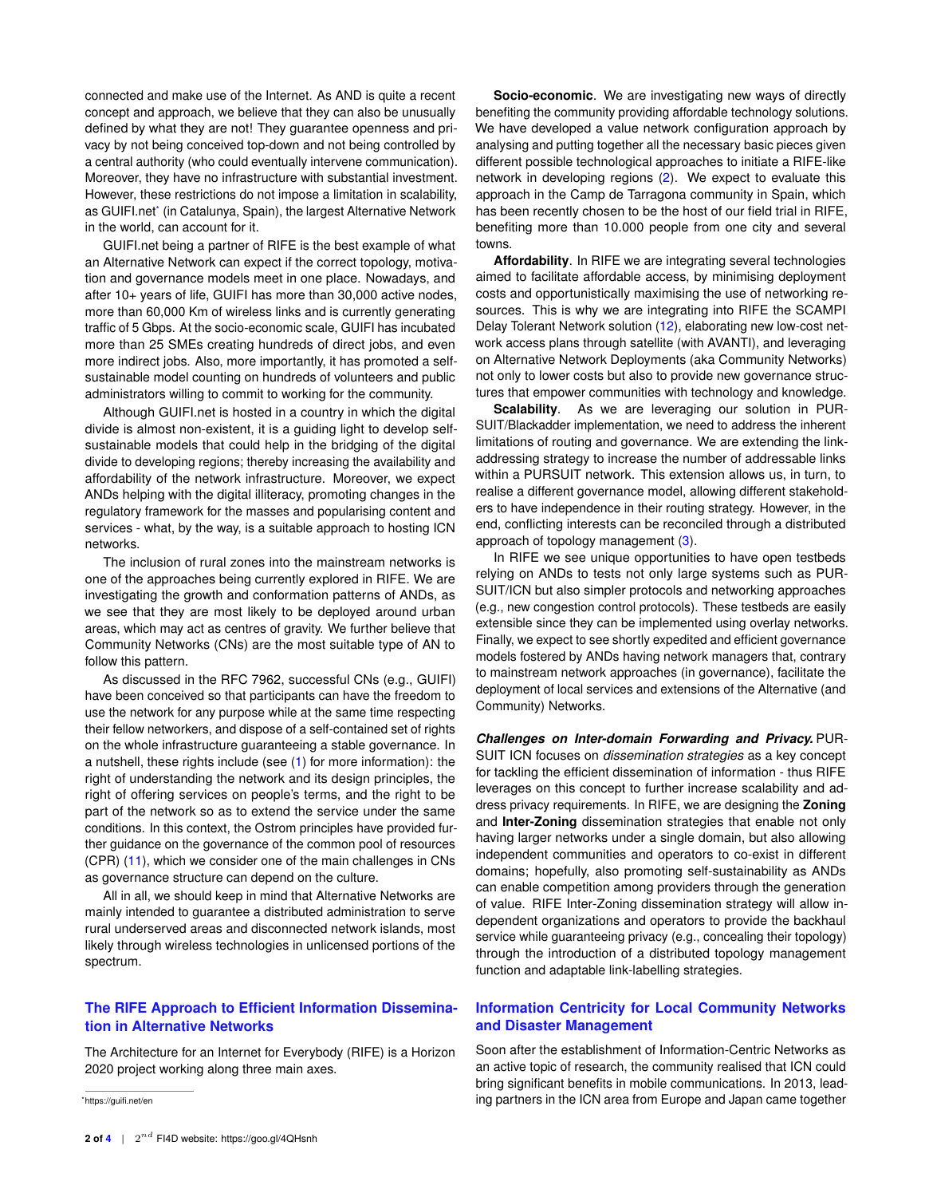connected and make use of the Internet. As AND is quite a recent concept and approach, we believe that they can also be unusually defined by what they are not! They guarantee openness and privacy by not being conceived top-down and not being controlled by a central authority (who could eventually intervene communication). Moreover, they have no infrastructure with substantial investment. However, these restrictions do not impose a limitation in scalability, as GUIFI.net[\\*](#page-0-0) (in Catalunya, Spain), the largest Alternative Network in the world, can account for it.

GUIFI.net being a partner of RIFE is the best example of what an Alternative Network can expect if the correct topology, motivation and governance models meet in one place. Nowadays, and after 10+ years of life, GUIFI has more than 30,000 active nodes, more than 60,000 Km of wireless links and is currently generating traffic of 5 Gbps. At the socio-economic scale, GUIFI has incubated more than 25 SMEs creating hundreds of direct jobs, and even more indirect jobs. Also, more importantly, it has promoted a selfsustainable model counting on hundreds of volunteers and public administrators willing to commit to working for the community.

Although GUIFI.net is hosted in a country in which the digital divide is almost non-existent, it is a guiding light to develop selfsustainable models that could help in the bridging of the digital divide to developing regions; thereby increasing the availability and affordability of the network infrastructure. Moreover, we expect ANDs helping with the digital illiteracy, promoting changes in the regulatory framework for the masses and popularising content and services - what, by the way, is a suitable approach to hosting ICN networks.

The inclusion of rural zones into the mainstream networks is one of the approaches being currently explored in RIFE. We are investigating the growth and conformation patterns of ANDs, as we see that they are most likely to be deployed around urban areas, which may act as centres of gravity. We further believe that Community Networks (CNs) are the most suitable type of AN to follow this pattern.

As discussed in the RFC 7962, successful CNs (e.g., GUIFI) have been conceived so that participants can have the freedom to use the network for any purpose while at the same time respecting their fellow networkers, and dispose of a self-contained set of rights on the whole infrastructure guaranteeing a stable governance. In a nutshell, these rights include (see [\(1\)](#page-3-2) for more information): the right of understanding the network and its design principles, the right of offering services on people's terms, and the right to be part of the network so as to extend the service under the same conditions. In this context, the Ostrom principles have provided further guidance on the governance of the common pool of resources (CPR) [\(11\)](#page-3-5), which we consider one of the main challenges in CNs as governance structure can depend on the culture.

All in all, we should keep in mind that Alternative Networks are mainly intended to guarantee a distributed administration to serve rural underserved areas and disconnected network islands, most likely through wireless technologies in unlicensed portions of the spectrum.

## **The RIFE Approach to Efficient Information Dissemination in Alternative Networks**

The Architecture for an Internet for Everybody (RIFE) is a Horizon 2020 project working along three main axes.

**Socio-economic**. We are investigating new ways of directly benefiting the community providing affordable technology solutions. We have developed a value network configuration approach by analysing and putting together all the necessary basic pieces given different possible technological approaches to initiate a RIFE-like network in developing regions [\(2\)](#page-3-6). We expect to evaluate this approach in the Camp de Tarragona community in Spain, which has been recently chosen to be the host of our field trial in RIFE, benefiting more than 10.000 people from one city and several towns.

**Affordability**. In RIFE we are integrating several technologies aimed to facilitate affordable access, by minimising deployment costs and opportunistically maximising the use of networking resources. This is why we are integrating into RIFE the SCAMPI Delay Tolerant Network solution [\(12\)](#page-3-7), elaborating new low-cost network access plans through satellite (with AVANTI), and leveraging on Alternative Network Deployments (aka Community Networks) not only to lower costs but also to provide new governance structures that empower communities with technology and knowledge.

**Scalability**. As we are leveraging our solution in PUR-SUIT/Blackadder implementation, we need to address the inherent limitations of routing and governance. We are extending the linkaddressing strategy to increase the number of addressable links within a PURSUIT network. This extension allows us, in turn, to realise a different governance model, allowing different stakeholders to have independence in their routing strategy. However, in the end, conflicting interests can be reconciled through a distributed approach of topology management [\(3\)](#page-3-8).

In RIFE we see unique opportunities to have open testbeds relying on ANDs to tests not only large systems such as PUR-SUIT/ICN but also simpler protocols and networking approaches (e.g., new congestion control protocols). These testbeds are easily extensible since they can be implemented using overlay networks. Finally, we expect to see shortly expedited and efficient governance models fostered by ANDs having network managers that, contrary to mainstream network approaches (in governance), facilitate the deployment of local services and extensions of the Alternative (and Community) Networks.

*Challenges on Inter-domain Forwarding and Privacy.* PUR-SUIT ICN focuses on *dissemination strategies* as a key concept for tackling the efficient dissemination of information - thus RIFE leverages on this concept to further increase scalability and address privacy requirements. In RIFE, we are designing the **Zoning** and **Inter-Zoning** dissemination strategies that enable not only having larger networks under a single domain, but also allowing independent communities and operators to co-exist in different domains; hopefully, also promoting self-sustainability as ANDs can enable competition among providers through the generation of value. RIFE Inter-Zoning dissemination strategy will allow independent organizations and operators to provide the backhaul service while guaranteeing privacy (e.g., concealing their topology) through the introduction of a distributed topology management function and adaptable link-labelling strategies.

## **Information Centricity for Local Community Networks and Disaster Management**

Soon after the establishment of Information-Centric Networks as an active topic of research, the community realised that ICN could bring significant benefits in mobile communications. In 2013, leading partners in the ICN area from Europe and Japan came together

<sup>\*</sup><https://guifi.net/en>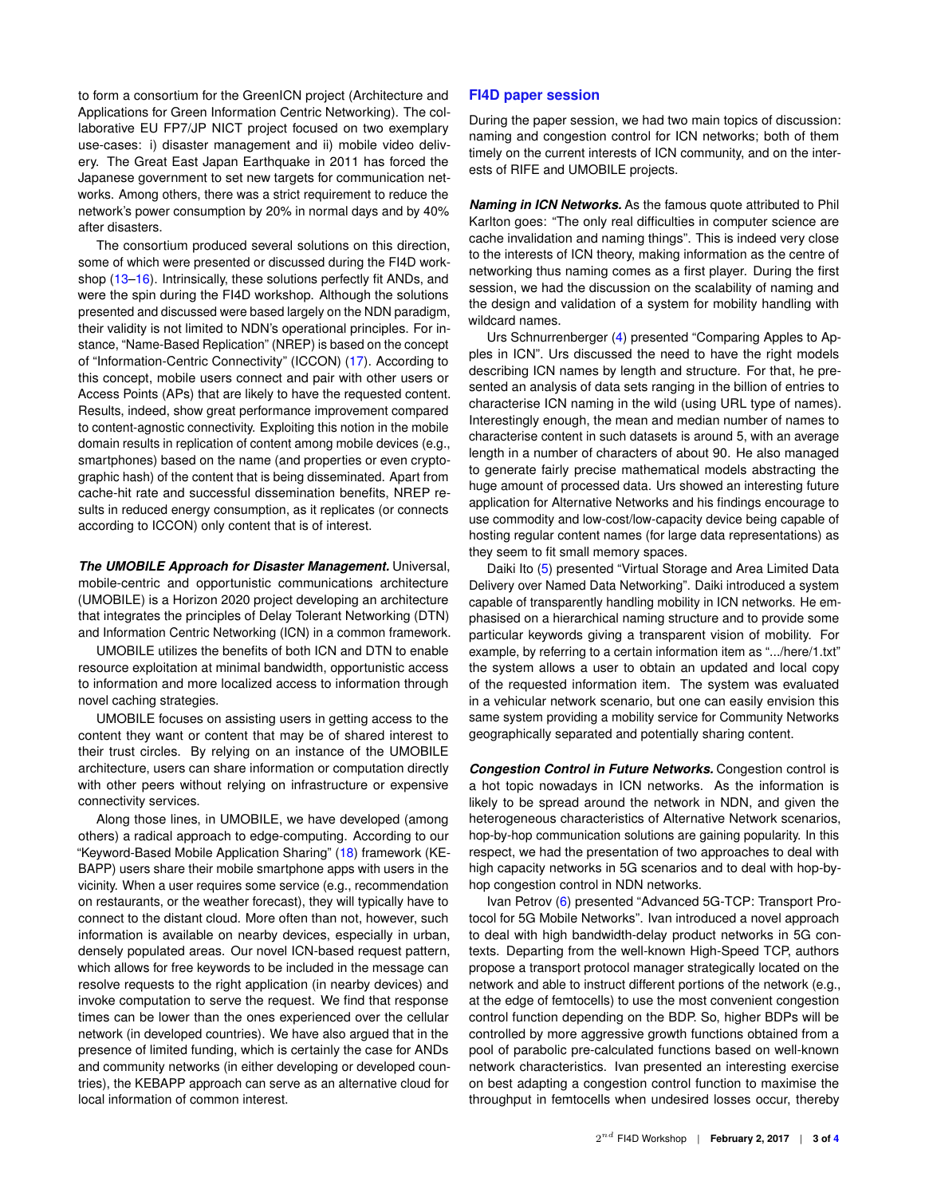to form a consortium for the GreenICN project (Architecture and Applications for Green Information Centric Networking). The collaborative EU FP7/JP NICT project focused on two exemplary use-cases: i) disaster management and ii) mobile video delivery. The Great East Japan Earthquake in 2011 has forced the Japanese government to set new targets for communication networks. Among others, there was a strict requirement to reduce the network's power consumption by 20% in normal days and by 40% after disasters.

The consortium produced several solutions on this direction, some of which were presented or discussed during the FI4D workshop [\(13–](#page-3-9)[16\)](#page-3-10). Intrinsically, these solutions perfectly fit ANDs, and were the spin during the FI4D workshop. Although the solutions presented and discussed were based largely on the NDN paradigm, their validity is not limited to NDN's operational principles. For instance, "Name-Based Replication" (NREP) is based on the concept of "Information-Centric Connectivity" (ICCON) [\(17\)](#page-3-11). According to this concept, mobile users connect and pair with other users or Access Points (APs) that are likely to have the requested content. Results, indeed, show great performance improvement compared to content-agnostic connectivity. Exploiting this notion in the mobile domain results in replication of content among mobile devices (e.g., smartphones) based on the name (and properties or even cryptographic hash) of the content that is being disseminated. Apart from cache-hit rate and successful dissemination benefits, NREP results in reduced energy consumption, as it replicates (or connects according to ICCON) only content that is of interest.

*The UMOBILE Approach for Disaster Management.* Universal, mobile-centric and opportunistic communications architecture (UMOBILE) is a Horizon 2020 project developing an architecture that integrates the principles of Delay Tolerant Networking (DTN) and Information Centric Networking (ICN) in a common framework.

UMOBILE utilizes the benefits of both ICN and DTN to enable resource exploitation at minimal bandwidth, opportunistic access to information and more localized access to information through novel caching strategies.

UMOBILE focuses on assisting users in getting access to the content they want or content that may be of shared interest to their trust circles. By relying on an instance of the UMOBILE architecture, users can share information or computation directly with other peers without relying on infrastructure or expensive connectivity services.

Along those lines, in UMOBILE, we have developed (among others) a radical approach to edge-computing. According to our "Keyword-Based Mobile Application Sharing" [\(18\)](#page-3-12) framework (KE-BAPP) users share their mobile smartphone apps with users in the vicinity. When a user requires some service (e.g., recommendation on restaurants, or the weather forecast), they will typically have to connect to the distant cloud. More often than not, however, such information is available on nearby devices, especially in urban, densely populated areas. Our novel ICN-based request pattern, which allows for free keywords to be included in the message can resolve requests to the right application (in nearby devices) and invoke computation to serve the request. We find that response times can be lower than the ones experienced over the cellular network (in developed countries). We have also argued that in the presence of limited funding, which is certainly the case for ANDs and community networks (in either developing or developed countries), the KEBAPP approach can serve as an alternative cloud for local information of common interest.

### **FI4D paper session**

During the paper session, we had two main topics of discussion: naming and congestion control for ICN networks; both of them timely on the current interests of ICN community, and on the interests of RIFE and UMOBILE projects.

*Naming in ICN Networks.* As the famous quote attributed to Phil Karlton goes: "The only real difficulties in computer science are cache invalidation and naming things". This is indeed very close to the interests of ICN theory, making information as the centre of networking thus naming comes as a first player. During the first session, we had the discussion on the scalability of naming and the design and validation of a system for mobility handling with wildcard names.

Urs Schnurrenberger [\(4\)](#page-3-13) presented "Comparing Apples to Apples in ICN". Urs discussed the need to have the right models describing ICN names by length and structure. For that, he presented an analysis of data sets ranging in the billion of entries to characterise ICN naming in the wild (using URL type of names). Interestingly enough, the mean and median number of names to characterise content in such datasets is around 5, with an average length in a number of characters of about 90. He also managed to generate fairly precise mathematical models abstracting the huge amount of processed data. Urs showed an interesting future application for Alternative Networks and his findings encourage to use commodity and low-cost/low-capacity device being capable of hosting regular content names (for large data representations) as they seem to fit small memory spaces.

Daiki Ito [\(5\)](#page-3-14) presented "Virtual Storage and Area Limited Data Delivery over Named Data Networking". Daiki introduced a system capable of transparently handling mobility in ICN networks. He emphasised on a hierarchical naming structure and to provide some particular keywords giving a transparent vision of mobility. For example, by referring to a certain information item as ".../here/1.txt" the system allows a user to obtain an updated and local copy of the requested information item. The system was evaluated in a vehicular network scenario, but one can easily envision this same system providing a mobility service for Community Networks geographically separated and potentially sharing content.

*Congestion Control in Future Networks.* Congestion control is a hot topic nowadays in ICN networks. As the information is likely to be spread around the network in NDN, and given the heterogeneous characteristics of Alternative Network scenarios, hop-by-hop communication solutions are gaining popularity. In this respect, we had the presentation of two approaches to deal with high capacity networks in 5G scenarios and to deal with hop-byhop congestion control in NDN networks.

Ivan Petrov [\(6\)](#page-3-15) presented "Advanced 5G-TCP: Transport Protocol for 5G Mobile Networks". Ivan introduced a novel approach to deal with high bandwidth-delay product networks in 5G contexts. Departing from the well-known High-Speed TCP, authors propose a transport protocol manager strategically located on the network and able to instruct different portions of the network (e.g., at the edge of femtocells) to use the most convenient congestion control function depending on the BDP. So, higher BDPs will be controlled by more aggressive growth functions obtained from a pool of parabolic pre-calculated functions based on well-known network characteristics. Ivan presented an interesting exercise on best adapting a congestion control function to maximise the throughput in femtocells when undesired losses occur, thereby